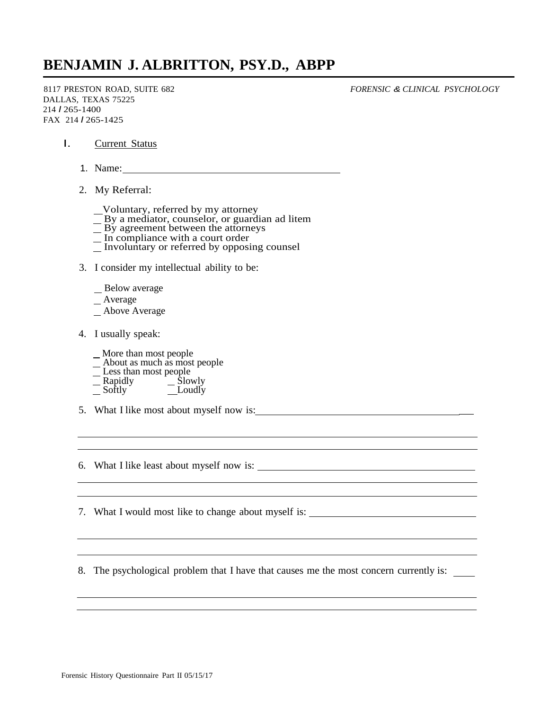## **BENJAMIN J. ALBRITTON, PSY.D., ABPP**

8117 PRESTON ROAD, SUITE 682 DALLAS, TEXAS 75225 214 *I* 265-1400 FAX 214 *I* 265-1425

*FORENSIC & CLINICAL PSYCHOLOGY*

- I. Current Status
	- 1. Name:
	- 2. My Referral:
		- Voluntary, referred by my attorney
		- $\overline{\phantom{a}}$  By a mediator, counselor, or guardian ad litem
		- By agreement between the attorneys
		- In compliance with a court order
		- $\overline{\phantom{a}}$  Involuntary or referred by opposing counsel
	- 3. I consider my intellectual ability to be:
		- Below average
		- Average
		- Above Average
	- 4. I usually speak:
		- More than most people
		- About as much as most people
		- Less than most people
		- Rapidly <u>Colo</u> Slowly Softly Loudly
	- 5. What I like most about myself now is: \_
	- 6. What I like least about myself now is:

7. What I would most like to change about myself is:

8. The psychological problem that I have that causes me the most concern currently is: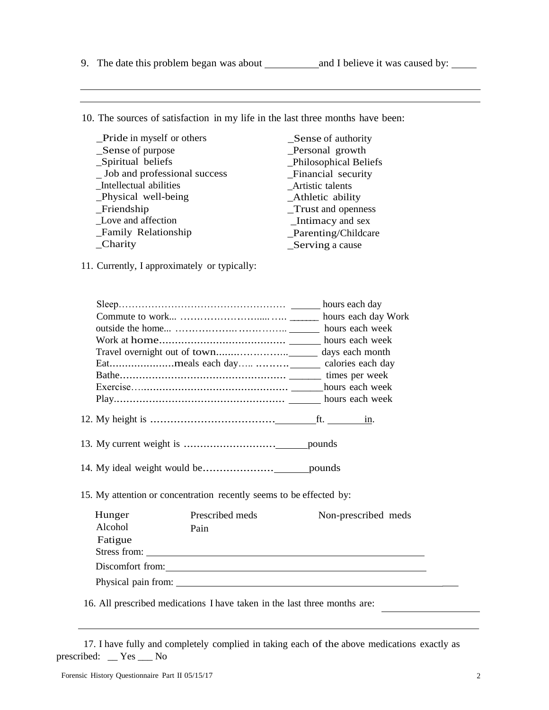Beliefs

10. The sources of satisfaction in my life in the last three months have been:

| _Pride in myself or others   | Sense of authority     |
|------------------------------|------------------------|
| _Sense of purpose            | _Personal growth       |
| _Spiritual beliefs           | _Philosophical Beliefs |
| Job and professional success | Financial security     |
| _Intellectual abilities      | _Artistic talents      |
| _Physical well-being         | _Athletic ability      |
| $_F$ Friendship              | Trust and openness     |
| Love and affection           | Intimacy and sex       |
| _Family Relationship         | _Parenting/Childcare   |
| Charity                      | Serving a cause        |

11. Currently, I approximately or typically:

| 15. My attention or concentration recently seems to be effected by: |                                                                           |                                                  |  |
|---------------------------------------------------------------------|---------------------------------------------------------------------------|--------------------------------------------------|--|
| Hunger                                                              | Prescribed meds                                                           | Non-prescribed meds                              |  |
| Alcohol                                                             | Pain                                                                      |                                                  |  |
| Fatigue                                                             |                                                                           |                                                  |  |
|                                                                     |                                                                           | Stress from:                                     |  |
|                                                                     |                                                                           | Discomfort from: <u>Container and Containers</u> |  |
|                                                                     |                                                                           |                                                  |  |
|                                                                     | 16. All prescribed medications I have taken in the last three months are: |                                                  |  |

 17. I have fully and completely complied in taking each of the above medications exactly as prescribed: \_\_ Yes \_\_\_ No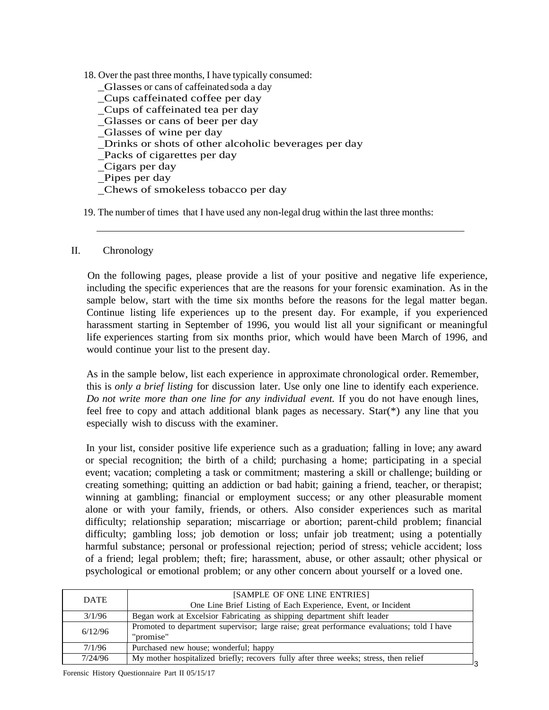18. Over the past three months, I have typically consumed: \_Glasses or cans of caffeinated soda a day \_Cups caffeinated coffee per day Cups of caffeinated tea per day Glasses or cans of beer per day Glasses of wine per day Drinks or shots of other alcoholic beverages per day Packs of cigarettes per day Cigars per day Pipes per day Chews of smokeless tobacco per day

19. The number of times that I have used any non-legal drug within the last three months:

## II. Chronology

On the following pages, please provide a list of your positive and negative life experience, including the specific experiences that are the reasons for your forensic examination. As in the sample below, start with the time six months before the reasons for the legal matter began. Continue listing life experiences up to the present day. For example, if you experienced harassment starting in September of 1996, you would list all your significant or meaningful life experiences starting from six months prior, which would have been March of 1996, and would continue your list to the present day.

As in the sample below, list each experience in approximate chronological order. Remember, this is *only a brief listing* for discussion later. Use only one line to identify each experience. *Do not write more than one line for any individual event.* If you do not have enough lines, feel free to copy and attach additional blank pages as necessary. Star(\*) any line that you especially wish to discuss with the examiner.

In your list, consider positive life experience such as a graduation; falling in love; any award or special recognition; the birth of a child; purchasing a home; participating in a special event; vacation; completing a task or commitment; mastering a skill or challenge; building or creating something; quitting an addiction or bad habit; gaining a friend, teacher, or therapist; winning at gambling; financial or employment success; or any other pleasurable moment alone or with your family, friends, or others. Also consider experiences such as marital difficulty; relationship separation; miscarriage or abortion; parent-child problem; financial difficulty; gambling loss; job demotion or loss; unfair job treatment; using a potentially harmful substance; personal or professional rejection; period of stress; vehicle accident; loss of a friend; legal problem; theft; fire; harassment, abuse, or other assault; other physical or psychological or emotional problem; or any other concern about yourself or a loved one.

| <b>DATE</b> | [SAMPLE OF ONE LINE ENTRIES]                                                               |
|-------------|--------------------------------------------------------------------------------------------|
|             | One Line Brief Listing of Each Experience, Event, or Incident                              |
| 3/1/96      | Began work at Excelsior Fabricating as shipping department shift leader                    |
| 6/12/96     | Promoted to department supervisor; large raise; great performance evaluations; told I have |
|             | "promise"                                                                                  |
| 7/1/96      | Purchased new house; wonderful; happy                                                      |
| 7/24/96     | My mother hospitalized briefly; recovers fully after three weeks; stress, then relief      |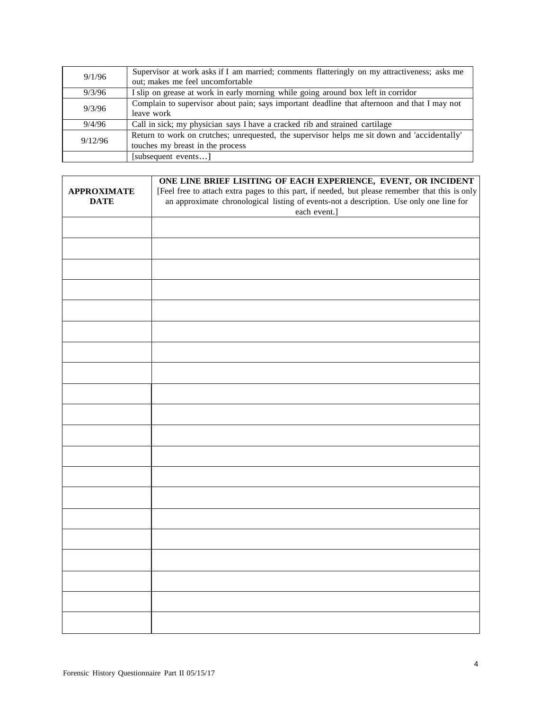| 9/1/96  | Supervisor at work asks if I am married; comments flatteringly on my attractiveness; asks me |
|---------|----------------------------------------------------------------------------------------------|
|         | out; makes me feel uncomfortable                                                             |
| 9/3/96  | I slip on grease at work in early morning while going around box left in corridor            |
| 9/3/96  | Complain to supervisor about pain; says important deadline that afternoon and that I may not |
|         | leave work                                                                                   |
| 9/4/96  | Call in sick; my physician says I have a cracked rib and strained cartilage                  |
| 9/12/96 | Return to work on crutches; unrequested, the supervisor helps me sit down and 'accidentally' |
|         | touches my breast in the process                                                             |
|         | [subsequent events]                                                                          |

|                    | ONE LINE BRIEF LISITING OF EACH EXPERIENCE, EVENT, OR INCIDENT<br>[Feel free to attach extra pages to this part, if needed, but please remember that this is only an approximate chronological listing of events-not a description. Use only one line for |  |  |
|--------------------|-----------------------------------------------------------------------------------------------------------------------------------------------------------------------------------------------------------------------------------------------------------|--|--|
| <b>APPROXIMATE</b> |                                                                                                                                                                                                                                                           |  |  |
| <b>DATE</b>        |                                                                                                                                                                                                                                                           |  |  |
|                    | each event.]                                                                                                                                                                                                                                              |  |  |
|                    |                                                                                                                                                                                                                                                           |  |  |
|                    |                                                                                                                                                                                                                                                           |  |  |
|                    |                                                                                                                                                                                                                                                           |  |  |
|                    |                                                                                                                                                                                                                                                           |  |  |
|                    |                                                                                                                                                                                                                                                           |  |  |
|                    |                                                                                                                                                                                                                                                           |  |  |
|                    |                                                                                                                                                                                                                                                           |  |  |
|                    |                                                                                                                                                                                                                                                           |  |  |
|                    |                                                                                                                                                                                                                                                           |  |  |
|                    |                                                                                                                                                                                                                                                           |  |  |
|                    |                                                                                                                                                                                                                                                           |  |  |
|                    |                                                                                                                                                                                                                                                           |  |  |
|                    |                                                                                                                                                                                                                                                           |  |  |
|                    |                                                                                                                                                                                                                                                           |  |  |
|                    |                                                                                                                                                                                                                                                           |  |  |
|                    |                                                                                                                                                                                                                                                           |  |  |
|                    |                                                                                                                                                                                                                                                           |  |  |
|                    |                                                                                                                                                                                                                                                           |  |  |
|                    |                                                                                                                                                                                                                                                           |  |  |
|                    |                                                                                                                                                                                                                                                           |  |  |
|                    |                                                                                                                                                                                                                                                           |  |  |
|                    |                                                                                                                                                                                                                                                           |  |  |
|                    |                                                                                                                                                                                                                                                           |  |  |
|                    |                                                                                                                                                                                                                                                           |  |  |
|                    |                                                                                                                                                                                                                                                           |  |  |
|                    |                                                                                                                                                                                                                                                           |  |  |
|                    |                                                                                                                                                                                                                                                           |  |  |
|                    |                                                                                                                                                                                                                                                           |  |  |
|                    |                                                                                                                                                                                                                                                           |  |  |
|                    |                                                                                                                                                                                                                                                           |  |  |
|                    |                                                                                                                                                                                                                                                           |  |  |
|                    |                                                                                                                                                                                                                                                           |  |  |
|                    |                                                                                                                                                                                                                                                           |  |  |
|                    |                                                                                                                                                                                                                                                           |  |  |
|                    |                                                                                                                                                                                                                                                           |  |  |
|                    |                                                                                                                                                                                                                                                           |  |  |
|                    |                                                                                                                                                                                                                                                           |  |  |
|                    |                                                                                                                                                                                                                                                           |  |  |
|                    |                                                                                                                                                                                                                                                           |  |  |
|                    |                                                                                                                                                                                                                                                           |  |  |
|                    |                                                                                                                                                                                                                                                           |  |  |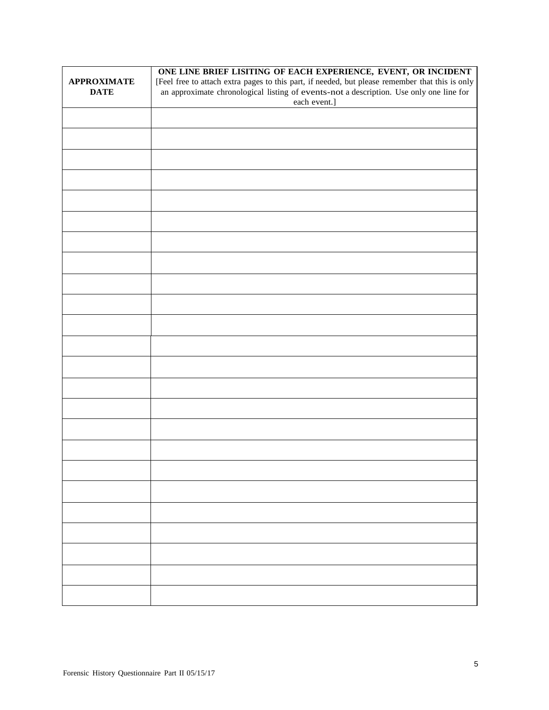|                    | ONE LINE BRIEF LISITING OF EACH EXPERIENCE, EVENT, OR INCIDENT                                                                                                                          |  |  |
|--------------------|-----------------------------------------------------------------------------------------------------------------------------------------------------------------------------------------|--|--|
| <b>APPROXIMATE</b> | [Feel free to attach extra pages to this part, if needed, but please remember that this is only an approximate chronological listing of events-not a description. Use only one line for |  |  |
| <b>DATE</b>        |                                                                                                                                                                                         |  |  |
|                    | each event.]                                                                                                                                                                            |  |  |
|                    |                                                                                                                                                                                         |  |  |
|                    |                                                                                                                                                                                         |  |  |
|                    |                                                                                                                                                                                         |  |  |
|                    |                                                                                                                                                                                         |  |  |
|                    |                                                                                                                                                                                         |  |  |
|                    |                                                                                                                                                                                         |  |  |
|                    |                                                                                                                                                                                         |  |  |
|                    |                                                                                                                                                                                         |  |  |
|                    |                                                                                                                                                                                         |  |  |
|                    |                                                                                                                                                                                         |  |  |
|                    |                                                                                                                                                                                         |  |  |
|                    |                                                                                                                                                                                         |  |  |
|                    |                                                                                                                                                                                         |  |  |
|                    |                                                                                                                                                                                         |  |  |
|                    |                                                                                                                                                                                         |  |  |
|                    |                                                                                                                                                                                         |  |  |
|                    |                                                                                                                                                                                         |  |  |
|                    |                                                                                                                                                                                         |  |  |
|                    |                                                                                                                                                                                         |  |  |
|                    |                                                                                                                                                                                         |  |  |
|                    |                                                                                                                                                                                         |  |  |
|                    |                                                                                                                                                                                         |  |  |
|                    |                                                                                                                                                                                         |  |  |
|                    |                                                                                                                                                                                         |  |  |
|                    |                                                                                                                                                                                         |  |  |
|                    |                                                                                                                                                                                         |  |  |
|                    |                                                                                                                                                                                         |  |  |
|                    |                                                                                                                                                                                         |  |  |
|                    |                                                                                                                                                                                         |  |  |
|                    |                                                                                                                                                                                         |  |  |
|                    |                                                                                                                                                                                         |  |  |
|                    |                                                                                                                                                                                         |  |  |
|                    |                                                                                                                                                                                         |  |  |
|                    |                                                                                                                                                                                         |  |  |
|                    |                                                                                                                                                                                         |  |  |
|                    |                                                                                                                                                                                         |  |  |
|                    |                                                                                                                                                                                         |  |  |
|                    |                                                                                                                                                                                         |  |  |
|                    |                                                                                                                                                                                         |  |  |
|                    |                                                                                                                                                                                         |  |  |
|                    |                                                                                                                                                                                         |  |  |
|                    |                                                                                                                                                                                         |  |  |
|                    |                                                                                                                                                                                         |  |  |
|                    |                                                                                                                                                                                         |  |  |
|                    |                                                                                                                                                                                         |  |  |
|                    |                                                                                                                                                                                         |  |  |
|                    |                                                                                                                                                                                         |  |  |
|                    |                                                                                                                                                                                         |  |  |